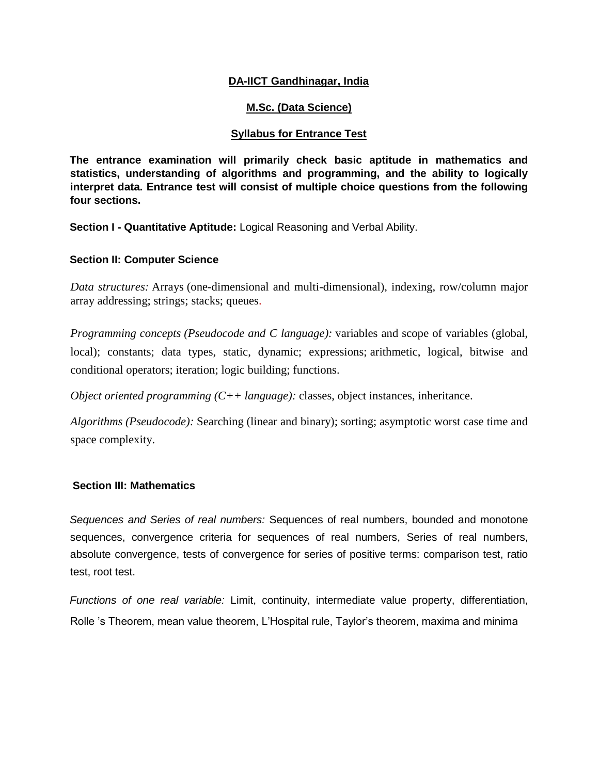# **DA-IICT Gandhinagar, India**

# **M.Sc. (Data Science)**

## **Syllabus for Entrance Test**

**The entrance examination will primarily check basic aptitude in mathematics and statistics, understanding of algorithms and programming, and the ability to logically interpret data. Entrance test will consist of multiple choice questions from the following four sections.** 

**Section I - Quantitative Aptitude:** Logical Reasoning and Verbal Ability.

#### **Section II: Computer Science**

*Data structures:* Arrays (one-dimensional and multi-dimensional), indexing, row/column major array addressing; strings; stacks; queues.

*Programming concepts (Pseudocode and C language):* variables and scope of variables (global, local); constants; data types, static, dynamic; expressions; arithmetic, logical, bitwise and conditional operators; iteration; logic building; functions.

*Object oriented programming (C++ language):* classes, object instances, inheritance.

*Algorithms (Pseudocode):* Searching (linear and binary); sorting; asymptotic worst case time and space complexity.

### **Section III: Mathematics**

*Sequences and Series of real numbers:* Sequences of real numbers, bounded and monotone sequences, convergence criteria for sequences of real numbers, Series of real numbers, absolute convergence, tests of convergence for series of positive terms: comparison test, ratio test, root test.

*Functions of one real variable:* Limit, continuity, intermediate value property, differentiation, Rolle 's Theorem, mean value theorem, L'Hospital rule, Taylor's theorem, maxima and minima